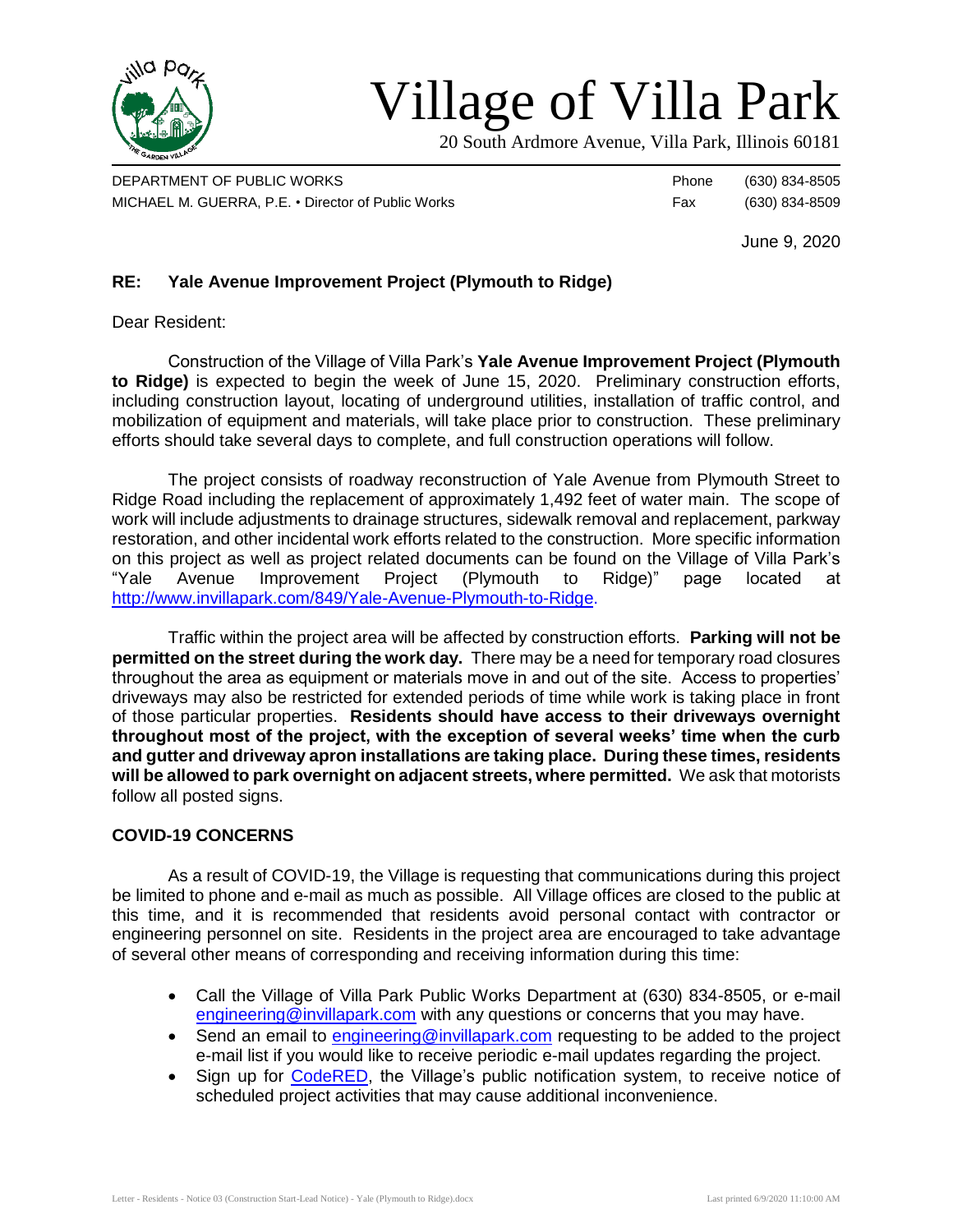

# Village of Villa Park

20 South Ardmore Avenue, Villa Park, Illinois 60181

DEPARTMENT OF PUBLIC WORKS **Phone** (630) 834-8505 MICHAEL M. GUERRA, P.E. • Director of Public Works Fax (630) 834-8509

June 9, 2020

## **RE: Yale Avenue Improvement Project (Plymouth to Ridge)**

Dear Resident:

Construction of the Village of Villa Park's **Yale Avenue Improvement Project (Plymouth to Ridge)** is expected to begin the week of June 15, 2020. Preliminary construction efforts, including construction layout, locating of underground utilities, installation of traffic control, and mobilization of equipment and materials, will take place prior to construction. These preliminary efforts should take several days to complete, and full construction operations will follow.

The project consists of roadway reconstruction of Yale Avenue from Plymouth Street to Ridge Road including the replacement of approximately 1,492 feet of water main. The scope of work will include adjustments to drainage structures, sidewalk removal and replacement, parkway restoration, and other incidental work efforts related to the construction. More specific information on this project as well as project related documents can be found on the Village of Villa Park's "Yale Avenue Improvement Project (Plymouth to Ridge)" page located at [http://www.invillapark.com/849/Yale-Avenue-Plymouth-to-Ridge.](http://www.invillapark.com/849/Yale-Avenue-Plymouth-to-Ridge)

Traffic within the project area will be affected by construction efforts. **Parking will not be permitted on the street during the work day.** There may be a need for temporary road closures throughout the area as equipment or materials move in and out of the site. Access to properties' driveways may also be restricted for extended periods of time while work is taking place in front of those particular properties. **Residents should have access to their driveways overnight throughout most of the project, with the exception of several weeks' time when the curb and gutter and driveway apron installations are taking place. During these times, residents will be allowed to park overnight on adjacent streets, where permitted.** We ask that motorists follow all posted signs.

### **COVID-19 CONCERNS**

As a result of COVID-19, the Village is requesting that communications during this project be limited to phone and e-mail as much as possible. All Village offices are closed to the public at this time, and it is recommended that residents avoid personal contact with contractor or engineering personnel on site. Residents in the project area are encouraged to take advantage of several other means of corresponding and receiving information during this time:

- Call the Village of Villa Park Public Works Department at (630) 834-8505, or e-mail [engineering@invillapark.com](mailto:engineering@invillapark.com) with any questions or concerns that you may have.
- Send an email to [engineering@invillapark.com](mailto:engineering@invillapark.com) requesting to be added to the project e-mail list if you would like to receive periodic e-mail updates regarding the project.
- Sign up for [CodeRED,](http://www.invillapark.com/787/CodeRED) the Village's public notification system, to receive notice of scheduled project activities that may cause additional inconvenience.